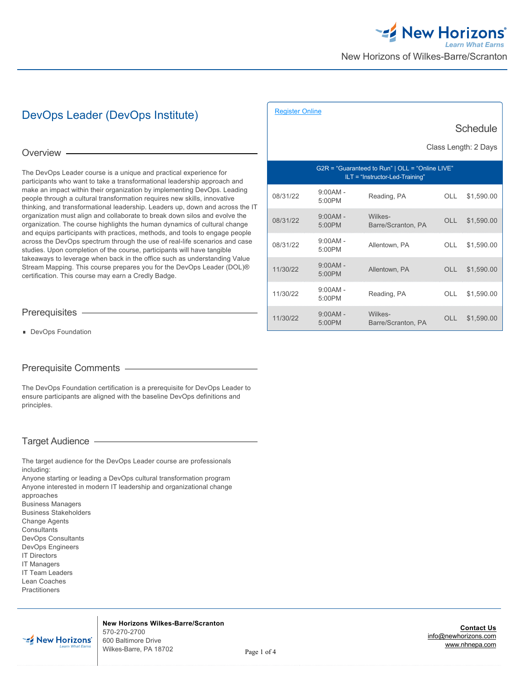# DevOps Leader (DevOps Institute)

Overview -

The DevOps Leader course is a unique and practical experience for participants who want to take a transformational leadership approach and make an impact within their organization by implementing DevOps. Leading people through a cultural transformation requires new skills, innovative thinking, and transformational leadership. Leaders up, down and across the IT organization must align and collaborate to break down silos and evolve the organization. The course highlights the human dynamics of cultural change and equips participants with practices, methods, and tools to engage people across the DevOps spectrum through the use of real-life scenarios and case studies. Upon completion of the course, participants will have tangible takeaways to leverage when back in the office such as understanding Value Stream Mapping. This course prepares you for the DevOps Leader (DOL)® certification. This course may earn a Credly Badge.

|          | <b>Schedule</b><br>Class Length: 2 Days                                              |                               |            |            |  |
|----------|--------------------------------------------------------------------------------------|-------------------------------|------------|------------|--|
|          | G2R = "Guaranteed to Run"   OLL = "Online LIVE"<br>$ILT = "Instructor-Led-Training"$ |                               |            |            |  |
| 08/31/22 | $9:00AM -$<br>5:00PM                                                                 | Reading, PA                   | OLL        | \$1,590.00 |  |
| 08/31/22 | $9:00AM -$<br>5:00PM                                                                 | Wilkes-<br>Barre/Scranton, PA | OLL        | \$1,590.00 |  |
| 08/31/22 | $9:00AM -$<br>5:00PM                                                                 | Allentown, PA                 | OLL.       | \$1,590.00 |  |
| 11/30/22 | $9:00AM -$<br>5:00PM                                                                 | Allentown, PA                 | <b>OLL</b> | \$1,590.00 |  |
| 11/30/22 | $9:00AM -$<br>5:00PM                                                                 | Reading, PA                   | OLL.       | \$1,590.00 |  |
| 11/30/22 | $9:00AM -$<br>5:00PM                                                                 | Wilkes-<br>Barre/Scranton, PA | OLL.       | \$1,590.00 |  |

[Register Online](http://www.nhnepa.com/training-and-certifications/course-outline/id/1017259976)

Prerequisites

**DevOps Foundation** 

# Prerequisite Comments

The DevOps Foundation certification is a prerequisite for DevOps Leader to ensure participants are aligned with the baseline DevOps definitions and principles.

# Target Audience

The target audience for the DevOps Leader course are professionals including:

Anyone starting or leading a DevOps cultural transformation program Anyone interested in modern IT leadership and organizational change approaches Business Managers

- Business Stakeholders Change Agents **Consultants** DevOps Consultants DevOps Engineers IT Directors
- IT Managers
- IT Team Leaders
- Lean Coaches
- Practitioners



**New Horizons Wilkes-Barre/Scranton** 570-270-2700 600 Baltimore Drive Wilkes-Barre, PA 18702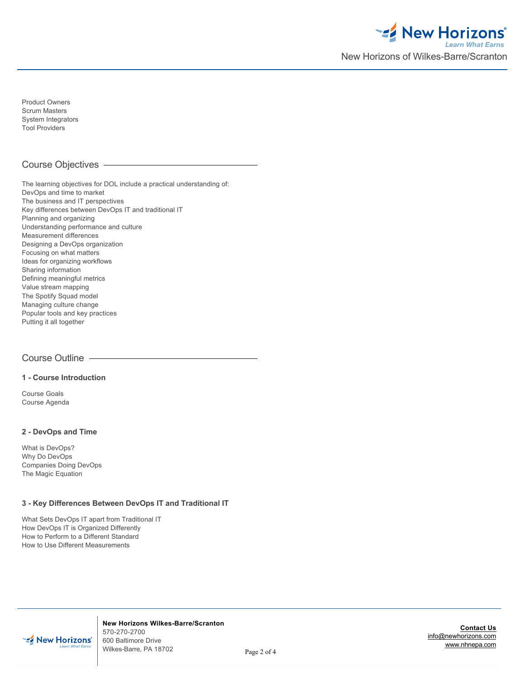

Product Owners Scrum Masters System Integrators Tool Providers

# Course Objectives

The learning objectives for DOL include a practical understanding of: DevOps and time to market The business and IT perspectives Key differences between DevOps IT and traditional IT Planning and organizing Understanding performance and culture Measurement differences Designing a DevOps organization Focusing on what matters Ideas for organizing workflows Sharing information Defining meaningful metrics Value stream mapping The Spotify Squad model Managing culture change Popular tools and key practices Putting it all together

# Course Outline

#### **1 - Course Introduction**

Course Goals Course Agenda

# **2 - DevOps and Time**

What is DevOps? Why Do DevOps Companies Doing DevOps The Magic Equation

#### **3 - Key Differences Between DevOps IT and Traditional IT**

What Sets DevOps IT apart from Traditional IT How DevOps IT is Organized Differently How to Perform to a Different Standard How to Use Different Measurements



**New Horizons Wilkes-Barre/Scranton** 570-270-2700 600 Baltimore Drive Wilkes-Barre, PA 18702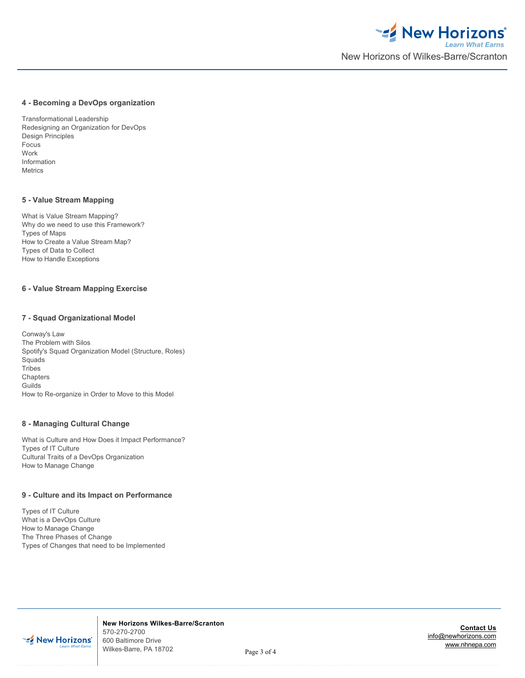#### **4 - Becoming a DevOps organization**

Transformational Leadership Redesigning an Organization for DevOps Design Principles Focus Work Information Metrics

#### **5 - Value Stream Mapping**

What is Value Stream Mapping? Why do we need to use this Framework? Types of Maps How to Create a Value Stream Map? Types of Data to Collect How to Handle Exceptions

# **6 - Value Stream Mapping Exercise**

#### **7 - Squad Organizational Model**

Conway's Law The Problem with Silos Spotify's Squad Organization Model (Structure, Roles) **Squads** Tribes Chapters Guilds How to Re-organize in Order to Move to this Model

## **8 - Managing Cultural Change**

What is Culture and How Does it Impact Performance? Types of IT Culture Cultural Traits of a DevOps Organization How to Manage Change

#### **9 - Culture and its Impact on Performance**

Types of IT Culture What is a DevOps Culture How to Manage Change The Three Phases of Change Types of Changes that need to be Implemented



**New Horizons Wilkes-Barre/Scranton** 570-270-2700 600 Baltimore Drive Wilkes-Barre, PA 18702